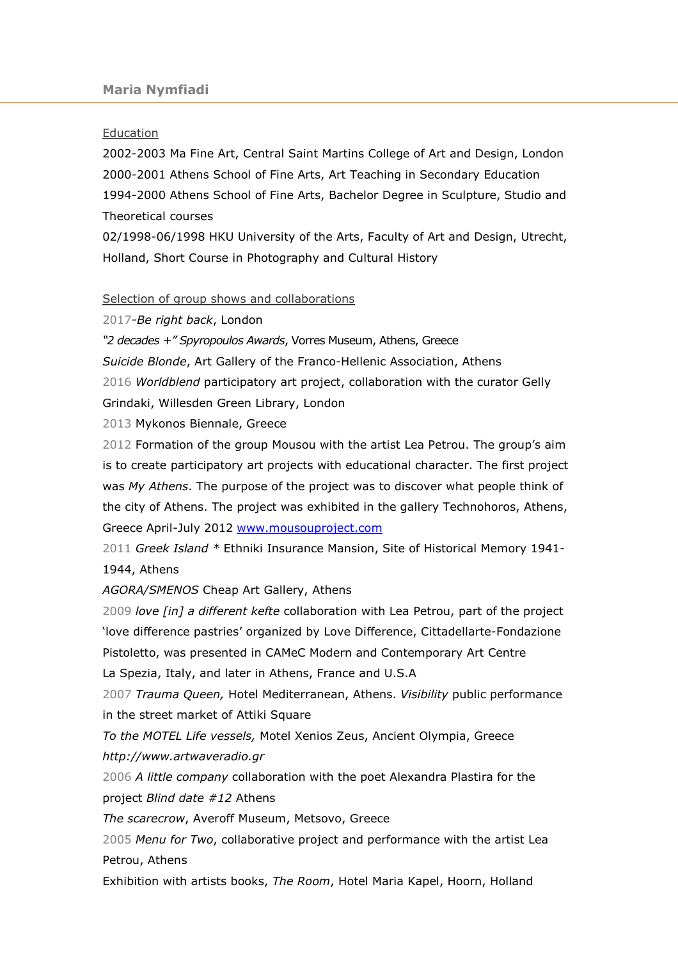## **Education**

2002-2003 Ma Fine Art, Central Saint Martins College of Art and Design, London 2000-2001 Athens School of Fine Arts, Art Teaching in Secondary Education 1994-2000 Athens School of Fine Arts, Bachelor Degree in Sculpture, Studio and Theoretical courses

02/1998-06/1998 HKU University of the Arts, Faculty of Art and Design, Utrecht, Holland, Short Course in Photography and Cultural History

Selection of group shows and collaborations

2017-Be right back, London

"2 decades +" Spyropoulos Awards, Vorres Museum, Athens, Greece

Suicide Blonde, Art Gallery of the Franco-Hellenic Association, Athens 2016 Worldblend participatory art project, collaboration with the curator Gelly Grindaki, Willesden Green Library, London

2013 Mykonos Biennale, Greece

2012 Formation of the group Mousou with the artist Lea Petrou. The group's aim is to create participatory art projects with educational character. The first project was My Athens. The purpose of the project was to discover what people think of the city of Athens. The project was exhibited in the gallery Technohoros, Athens, Greece April-July 2012 www.mousouproject.com

2011 Greek Island \* Ethniki Insurance Mansion, Site of Historical Memory 1941-1944, Athens

AGORA/SMENOS Cheap Art Gallery, Athens

2009 love [in] a different kefte collaboration with Lea Petrou, part of the project 'love difference pastries' organized by Love Difference, Cittadellarte-Fondazione Pistoletto, was presented in CΑΜeC Modern and Contemporary Art Centre

La Spezia, Italy, and later in Athens, France and U.S.A

2007 Trauma Queen, Hotel Mediterranean, Athens. Visibility public performance in the street market of Attiki Square

To the ΜΟΤΕL Life vessels, Motel Xenios Zeus, Ancient Olympia, Greece http://www.artwaveradio.gr

2006 A little company collaboration with the poet Alexandra Plastira for the project Blind date #12 Athens

The scarecrow, Averoff Museum, Metsovo, Greece

2005 Menu for Two, collaborative project and performance with the artist Lea Petrou, Athens

Exhibition with artists books, The Room, Hotel Maria Kapel, Hoorn, Holland